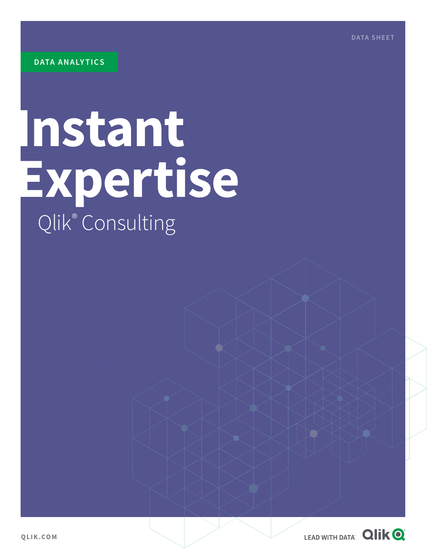**DATA SHEET**

# **Instant Expertise** Qlik® Consulting

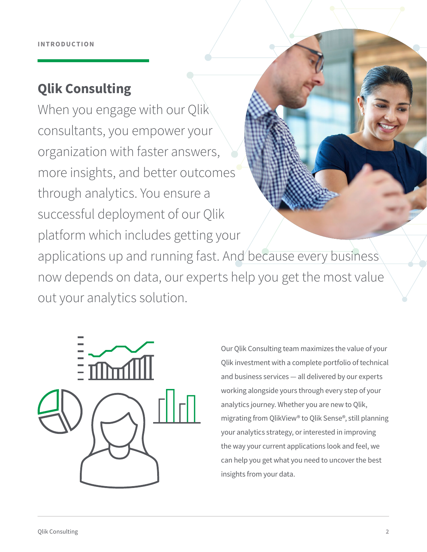## **Qlik Consulting**

When you engage with our Qlik consultants, you empower your organization with faster answers, more insights, and better outcomes through analytics. You ensure a successful deployment of our Qlik platform which includes getting your

applications up and running fast. And because every business now depends on data, our experts help you get the most value out your analytics solution.



Our Qlik Consulting team maximizes the value of your Qlik investment with a complete portfolio of technical and business services — all delivered by our experts working alongside yours through every step of your analytics journey. Whether you are new to Qlik, migrating from QlikView® to Qlik Sense®, still planning your analytics strategy, or interested in improving the way your current applications look and feel, we can help you get what you need to uncover the best insights from your data.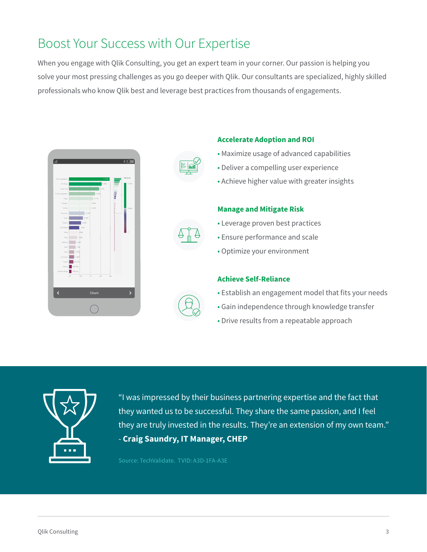## Boost Your Success with Our Expertise

When you engage with Qlik Consulting, you get an expert team in your corner. Our passion is helping you solve your most pressing challenges as you go deeper with Qlik. Our consultants are specialized, highly skilled professionals who know Qlik best and leverage best practices from thousands of engagements.







#### **Accelerate Adoption and ROI**

- Maximize usage of advanced capabilities
- Deliver a compelling user experience
- Achieve higher value with greater insights

#### **Manage and Mitigate Risk**

- Leverage proven best practices
- Ensure performance and scale
- Optimize your environment

#### **Achieve Self-Reliance**

- Establish an engagement model that fits your needs
- Gain independence through knowledge transfer
- Drive results from a repeatable approach



"I was impressed by their business partnering expertise and the fact that they wanted us to be successful. They share the same passion, and I feel they are truly invested in the results. They're an extension of my own team." - **Craig Saundry, IT Manager, CHEP** 

Source: TechValidate. TVID: A3D-1FA-A3E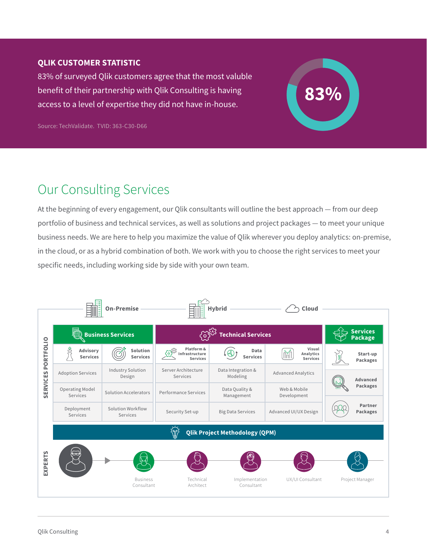#### **QLIK CUSTOMER STATISTIC**

83% of surveyed Qlik customers agree that the most valuble benefit of their partnership with Qlik Consulting is having access to a level of expertise they did not have in-house.

Source: TechValidate. TVID: 363-C30-D66

## Our Consulting Services

At the beginning of every engagement, our Qlik consultants will outline the best approach — from our deep portfolio of business and technical services, as well as solutions and project packages — to meet your unique business needs. We are here to help you maximize the value of Qlik wherever you deploy analytics: on-premise, in the cloud, or as a hybrid combination of both. We work with you to choose the right services to meet your specific needs, including working side by side with your own team.

**83%**